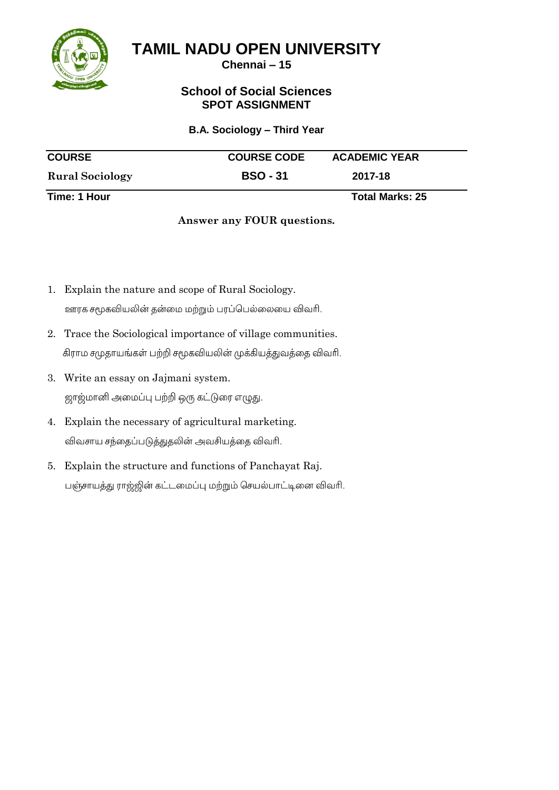

**Chennai – 15**

## **School of Social Sciences SPOT ASSIGNMENT**

#### **B.A. Sociology – Third Year**

| <b>COURSE</b>          | <b>COURSE CODE</b> | <b>ACADEMIC YEAR</b> |
|------------------------|--------------------|----------------------|
| <b>Rural Sociology</b> | <b>BSO - 31</b>    | 2017-18              |
| Time: 1 Hour           |                    | Total Marks: 25      |

### **Answer any FOUR questions.**

- 1. Explain the nature and scope of Rural Sociology. ஊரக சமூகவியலின் தன்மை மற்றும் பரப்பெல்லையை விவரி.
- 2. Trace the Sociological importance of village communities. கிராம சமுதாயங்கள் பற்றி சமூகவியலின் முக்கியத்துவத்தை விவரி.
- 3. Write an essay on Jajmani system. ஜாஜ்மானி அமைப்பு பற்றி ஒரு கட்டுரை எழுது.
- 4. Explain the necessary of agricultural marketing. விவசாய சந்தைப்படுத்துதலின் அவசியத்தை விவரி.
- 5. Explain the structure and functions of Panchayat Raj.பஞ்சாயத்து ராஜ்ஜின் கட்டமைப்பு மற்றும் செயல்பாட்டினை விவரி.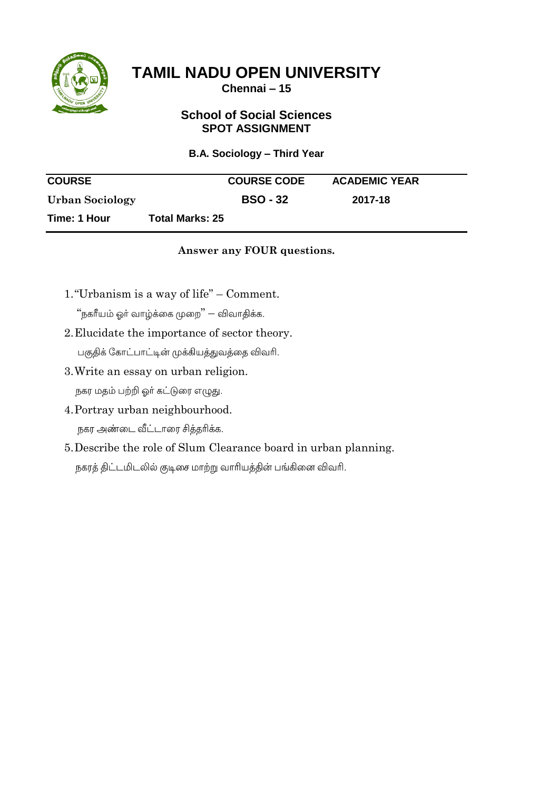

**Chennai – 15**

## **School of Social Sciences SPOT ASSIGNMENT**

## **B.A. Sociology – Third Year**

| <b>COURSE</b>   |                        | <b>COURSE CODE</b> | <b>ACADEMIC YEAR</b> |  |
|-----------------|------------------------|--------------------|----------------------|--|
| Urban Sociology |                        | <b>BSO - 32</b>    | 2017-18              |  |
| Time: 1 Hour    | <b>Total Marks: 25</b> |                    |                      |  |

## **Answer any FOUR questions.**

1."Urbanism is a way of life" – Comment.

,<br>"நகரீயம் ஓர் வாழ்க்கை முறை" — விவாதிக்க.

- 2.Elucidate the importance of sector theory. பகுதிக் கோட்பாட்டின் முக்கியத்துவத்தை விவரி.
- 3.Write an essay on urban religion. நகர மதம் பற்றி ஓா் கட்டுரை எழுது.
- 4.Portray urban neighbourhood. நகர அண்டை வீட்டாரை சித்தரிக்க.
- 5.Describe the role of Slum Clearance board in urban planning.நகரத் திட்டமிடலில் குடிசை மாற்று வாரியத்தின் பங்கினை விவரி.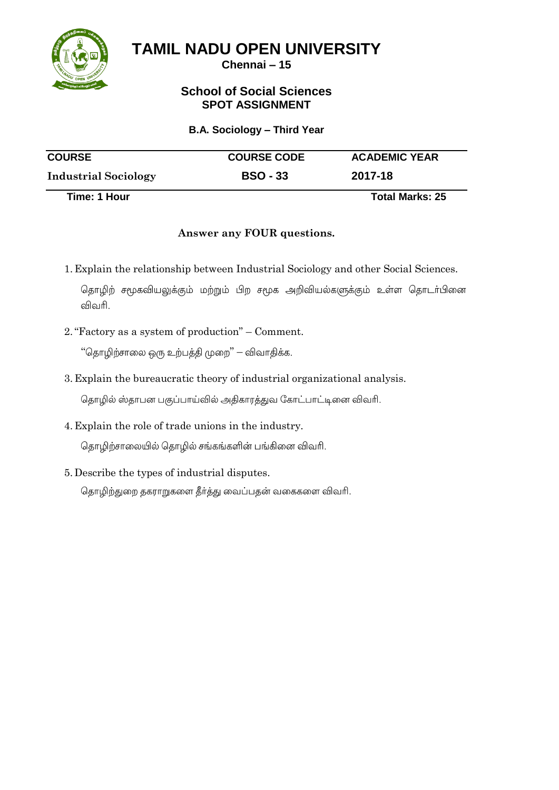

**Chennai – 15**

## **School of Social Sciences SPOT ASSIGNMENT**

#### **B.A. Sociology – Third Year**

| <b>COURSE</b>               | <b>COURSE CODE</b> | <b>ACADEMIC YEAR</b>   |
|-----------------------------|--------------------|------------------------|
| <b>Industrial Sociology</b> | <b>BSO - 33</b>    | 2017-18                |
| Time: 1 Hour                |                    | <b>Total Marks: 25</b> |

## **Answer any FOUR questions.**

1. Explain the relationship between Industrial Sociology and other Social Sciences. தொழிற் சமூகவியலுக்கும் மற்றும் பிற சமூக அறிவியல்களுக்கும் உள்ள தொடா்பினை

விவரி.

2."Factory as a system of production" – Comment.

"தொழிற்சாலை ஒரு உற்பத்தி முறை" — விவாதிக்க.

3. Explain the bureaucratic theory of industrial organizational analysis.

தொழில் ஸ்தாபன பகுப்பாய்வில் அதிகாரத்துவ கோட்பாட்டினை விவரி.

4. Explain the role of trade unions in the industry.

தொழிற்சாலையில் தொழில் சங்கங்களின் பங்கினை விவரி.

5. Describe the types of industrial disputes.

தொழிற்துறை தகராறுகளை தீர்த்து வைப்பதன் வகைகளை விவரி.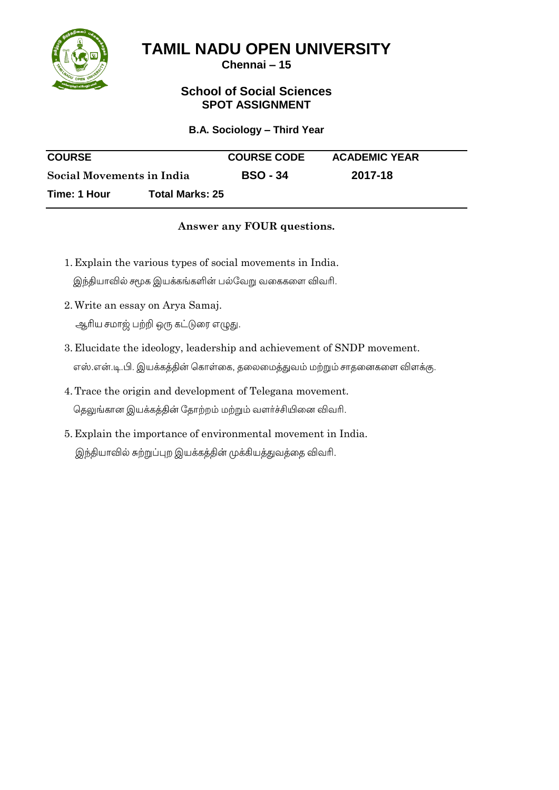

**Chennai – 15**

## **School of Social Sciences SPOT ASSIGNMENT**

#### **B.A. Sociology – Third Year**

| <b>COURSE</b>             |                        | <b>COURSE CODE</b> | <b>ACADEMIC YEAR</b> |
|---------------------------|------------------------|--------------------|----------------------|
| Social Movements in India |                        | <b>BSO - 34</b>    | 2017-18              |
| Time: 1 Hour              | <b>Total Marks: 25</b> |                    |                      |

#### **Answer any FOUR questions.**

- 1. Explain the various types of social movements in India. இந்தியாவில் சமூக இயக்கங்களின் பல்வேறு வகைகளை விவரி.
- 2.Write an essay on Arya Samaj.

ஆரிய சமாஜ் பற்றி ஒரு கட்டுரை எழுது.

- 3. Elucidate the ideology, leadership and achievement of SNDP movement. எஸ்.என்.டி.பி. இயக்கத்தின் கொள்கை, தலைமைத்துவம் மற்றும் சாதனைகளை விளக்கு.
- 4.Trace the origin and development of Telegana movement. தெலுங்கான இயக்கத்தின் தோற்றம் மற்றும் வளர்ச்சியினை விவரி.
- 5. Explain the importance of environmental movement in India.இந்தியாவில் சுற்றுப்புற இயக்கத்தின் முக்கியத்துவத்தை விவரி.